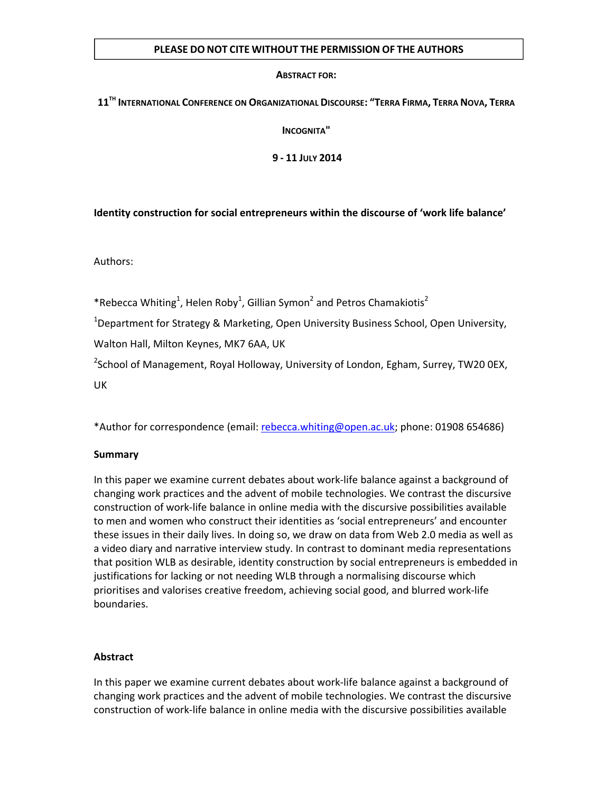### **PLEASE DO NOT CITE WITHOUT THE PERMISSION OF THE AUTHORS**

### **ABSTRACT FOR:**

### **11TH INTERNATIONAL CONFERENCE ON ORGANIZATIONAL DISCOURSE: "TERRA FIRMA, TERRA NOVA, TERRA**

**INCOGNITA"**

**9 ‐ 11 JULY 2014**

**Identity construction for social entrepreneurs within the discourse of 'work life balance'**

Authors:

\*Rebecca Whiting<sup>1</sup>, Helen Roby<sup>1</sup>, Gillian Symon<sup>2</sup> and Petros Chamakiotis<sup>2</sup>

<sup>1</sup>Department for Strategy & Marketing, Open University Business School, Open University,

Walton Hall, Milton Keynes, MK7 6AA, UK

<sup>2</sup>School of Management, Royal Holloway, University of London, Egham, Surrey, TW20 0EX, UK

\*Author for correspondence (email: rebecca.whiting@open.ac.uk; phone: 01908 654686)

# **Summary**

In this paper we examine current debates about work‐life balance against a background of changing work practices and the advent of mobile technologies. We contrast the discursive construction of work‐life balance in online media with the discursive possibilities available to men and women who construct their identities as 'social entrepreneurs' and encounter these issues in their daily lives. In doing so, we draw on data from Web 2.0 media as well as a video diary and narrative interview study. In contrast to dominant media representations that position WLB as desirable, identity construction by social entrepreneurs is embedded in justifications for lacking or not needing WLB through a normalising discourse which prioritises and valorises creative freedom, achieving social good, and blurred work‐life boundaries.

# **Abstract**

In this paper we examine current debates about work‐life balance against a background of changing work practices and the advent of mobile technologies. We contrast the discursive construction of work‐life balance in online media with the discursive possibilities available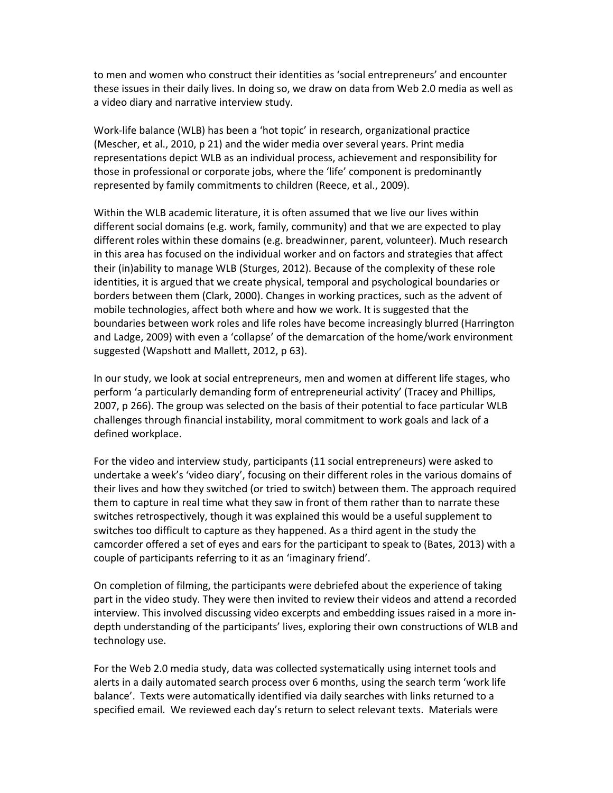to men and women who construct their identities as 'social entrepreneurs' and encounter these issues in their daily lives. In doing so, we draw on data from Web 2.0 media as well as a video diary and narrative interview study.

Work‐life balance (WLB) has been a 'hot topic' in research, organizational practice (Mescher, et al., 2010, p 21) and the wider media over several years. Print media representations depict WLB as an individual process, achievement and responsibility for those in professional or corporate jobs, where the 'life' component is predominantly represented by family commitments to children (Reece, et al., 2009).

Within the WLB academic literature, it is often assumed that we live our lives within different social domains (e.g. work, family, community) and that we are expected to play different roles within these domains (e.g. breadwinner, parent, volunteer). Much research in this area has focused on the individual worker and on factors and strategies that affect their (in)ability to manage WLB (Sturges, 2012). Because of the complexity of these role identities, it is argued that we create physical, temporal and psychological boundaries or borders between them (Clark, 2000). Changes in working practices, such as the advent of mobile technologies, affect both where and how we work. It is suggested that the boundaries between work roles and life roles have become increasingly blurred (Harrington and Ladge, 2009) with even a 'collapse' of the demarcation of the home/work environment suggested (Wapshott and Mallett, 2012, p 63).

In our study, we look at social entrepreneurs, men and women at different life stages, who perform 'a particularly demanding form of entrepreneurial activity' (Tracey and Phillips, 2007, p 266). The group was selected on the basis of their potential to face particular WLB challenges through financial instability, moral commitment to work goals and lack of a defined workplace.

For the video and interview study, participants (11 social entrepreneurs) were asked to undertake a week's 'video diary', focusing on their different roles in the various domains of their lives and how they switched (or tried to switch) between them. The approach required them to capture in real time what they saw in front of them rather than to narrate these switches retrospectively, though it was explained this would be a useful supplement to switches too difficult to capture as they happened. As a third agent in the study the camcorder offered a set of eyes and ears for the participant to speak to (Bates, 2013) with a couple of participants referring to it as an 'imaginary friend'.

On completion of filming, the participants were debriefed about the experience of taking part in the video study. They were then invited to review their videos and attend a recorded interview. This involved discussing video excerpts and embedding issues raised in a more in‐ depth understanding of the participants' lives, exploring their own constructions of WLB and technology use.

For the Web 2.0 media study, data was collected systematically using internet tools and alerts in a daily automated search process over 6 months, using the search term 'work life balance'. Texts were automatically identified via daily searches with links returned to a specified email. We reviewed each day's return to select relevant texts. Materials were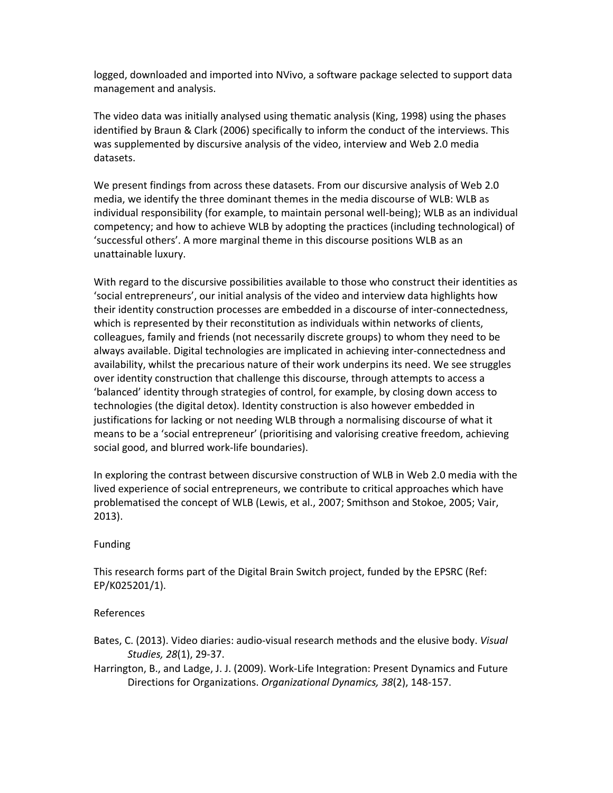logged, downloaded and imported into NVivo, a software package selected to support data management and analysis.

The video data was initially analysed using thematic analysis (King, 1998) using the phases identified by Braun & Clark (2006) specifically to inform the conduct of the interviews. This was supplemented by discursive analysis of the video, interview and Web 2.0 media datasets.

We present findings from across these datasets. From our discursive analysis of Web 2.0 media, we identify the three dominant themes in the media discourse of WLB: WLB as individual responsibility (for example, to maintain personal well‐being); WLB as an individual competency; and how to achieve WLB by adopting the practices (including technological) of 'successful others'. A more marginal theme in this discourse positions WLB as an unattainable luxury.

With regard to the discursive possibilities available to those who construct their identities as 'social entrepreneurs', our initial analysis of the video and interview data highlights how their identity construction processes are embedded in a discourse of inter‐connectedness, which is represented by their reconstitution as individuals within networks of clients, colleagues, family and friends (not necessarily discrete groups) to whom they need to be always available. Digital technologies are implicated in achieving inter‐connectedness and availability, whilst the precarious nature of their work underpins its need. We see struggles over identity construction that challenge this discourse, through attempts to access a 'balanced' identity through strategies of control, for example, by closing down access to technologies (the digital detox). Identity construction is also however embedded in justifications for lacking or not needing WLB through a normalising discourse of what it means to be a 'social entrepreneur' (prioritising and valorising creative freedom, achieving social good, and blurred work‐life boundaries).

In exploring the contrast between discursive construction of WLB in Web 2.0 media with the lived experience of social entrepreneurs, we contribute to critical approaches which have problematised the concept of WLB (Lewis, et al., 2007; Smithson and Stokoe, 2005; Vair, 2013).

### Funding

This research forms part of the Digital Brain Switch project, funded by the EPSRC (Ref: EP/K025201/1).

### References

- Bates, C. (2013). Video diaries: audio‐visual research methods and the elusive body. *Visual Studies, 28*(1), 29‐37.
- Harrington, B., and Ladge, J. J. (2009). Work‐Life Integration: Present Dynamics and Future Directions for Organizations. *Organizational Dynamics, 38*(2), 148‐157.